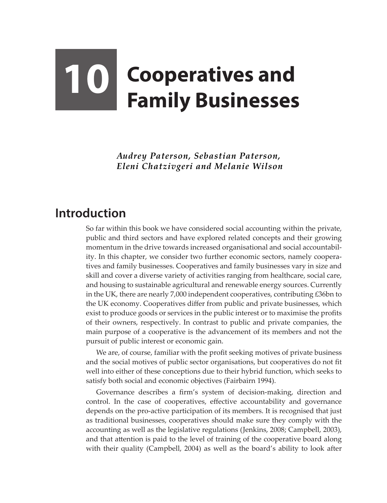## **10** Cooperatives and **Family Businesses**

*Audrey Paterson, Sebastian Paterson, Eleni Chatzivgeri and Melanie Wilson*

## **Introduction**

So far within this book we have considered social accounting within the private, public and third sectors and have explored related concepts and their growing momentum in the drive towards increased organisational and social accountability. In this chapter, we consider two further economic sectors, namely cooperatives and family businesses. Cooperatives and family businesses vary in size and skill and cover a diverse variety of activities ranging from healthcare, social care, and housing to sustainable agricultural and renewable energy sources. Currently in the UK, there are nearly 7,000 independent cooperatives, contributing £36bn to the UK economy. Cooperatives differ from public and private businesses, which exist to produce goods or services in the public interest or to maximise the profits of their owners, respectively. In contrast to public and private companies, the main purpose of a cooperative is the advancement of its members and not the pursuit of public interest or economic gain.

We are, of course, familiar with the profit seeking motives of private business and the social motives of public sector organisations, but cooperatives do not fit well into either of these conceptions due to their hybrid function, which seeks to satisfy both social and economic objectives (Fairbairn 1994).

Governance describes a firm's system of decision-making, direction and control. In the case of cooperatives, effective accountability and governance depends on the pro-active participation of its members. It is recognised that just as traditional businesses, cooperatives should make sure they comply with the accounting as well as the legislative regulations (Jenkins, 2008; Campbell, 2003), and that attention is paid to the level of training of the cooperative board along with their quality (Campbell, 2004) as well as the board's ability to look after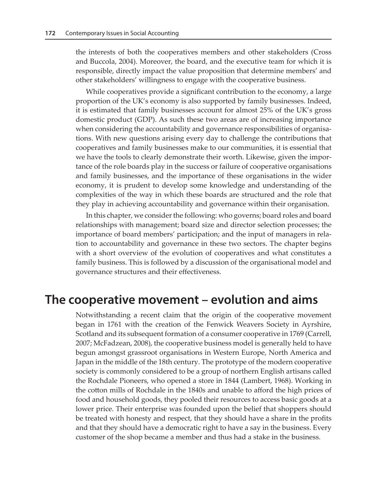the interests of both the cooperatives members and other stakeholders (Cross and Buccola, 2004). Moreover, the board, and the executive team for which it is responsible, directly impact the value proposition that determine members' and other stakeholders' willingness to engage with the cooperative business.

While cooperatives provide a significant contribution to the economy, a large proportion of the UK's economy is also supported by family businesses. Indeed, it is estimated that family businesses account for almost 25% of the UK's gross domestic product (GDP). As such these two areas are of increasing importance when considering the accountability and governance responsibilities of organisations. With new questions arising every day to challenge the contributions that cooperatives and family businesses make to our communities, it is essential that we have the tools to clearly demonstrate their worth. Likewise, given the importance of the role boards play in the success or failure of cooperative organisations and family businesses, and the importance of these organisations in the wider economy, it is prudent to develop some knowledge and understanding of the complexities of the way in which these boards are structured and the role that they play in achieving accountability and governance within their organisation.

In this chapter, we consider the following: who governs; board roles and board relationships with management; board size and director selection processes; the importance of board members' participation; and the input of managers in relation to accountability and governance in these two sectors. The chapter begins with a short overview of the evolution of cooperatives and what constitutes a family business. This is followed by a discussion of the organisational model and governance structures and their effectiveness.

## **The cooperative movement – evolution and aims**

Notwithstanding a recent claim that the origin of the cooperative movement began in 1761 with the creation of the Fenwick Weavers Society in Ayrshire, Scotland and its subsequent formation of a consumer cooperative in 1769 (Carrell, 2007; McFadzean, 2008), the cooperative business model is generally held to have begun amongst grassroot organisations in Western Europe, North America and Japan in the middle of the 18th century. The prototype of the modern cooperative society is commonly considered to be a group of northern English artisans called the Rochdale Pioneers, who opened a store in 1844 (Lambert, 1968). Working in the cotton mills of Rochdale in the 1840s and unable to afford the high prices of food and household goods, they pooled their resources to access basic goods at a lower price. Their enterprise was founded upon the belief that shoppers should be treated with honesty and respect, that they should have a share in the profits and that they should have a democratic right to have a say in the business. Every customer of the shop became a member and thus had a stake in the business.